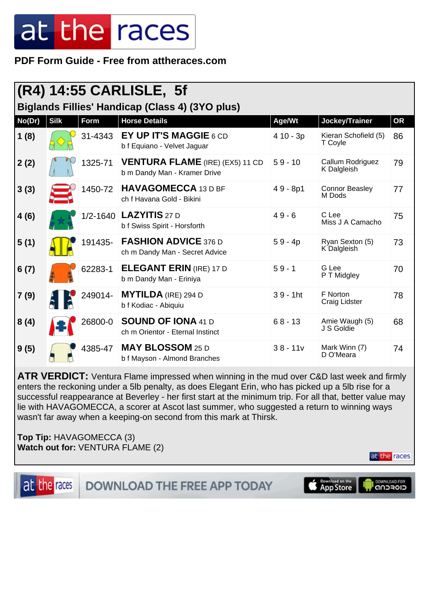**PDF Form Guide - Free from attheraces.com**

| (R4) 14:55 CARLISLE, 5f                                |             |         |                                                                        |             |                                 |           |  |  |
|--------------------------------------------------------|-------------|---------|------------------------------------------------------------------------|-------------|---------------------------------|-----------|--|--|
| <b>Biglands Fillies' Handicap (Class 4) (3YO plus)</b> |             |         |                                                                        |             |                                 |           |  |  |
| No(Dr)                                                 | <b>Silk</b> | Form    | <b>Horse Details</b>                                                   | Age/Wt      | Jockey/Trainer                  | <b>OR</b> |  |  |
| 1(8)                                                   |             | 31-4343 | EY UP IT'S MAGGIE 6 CD<br>b f Equiano - Velvet Jaguar                  | 4 10 - 3p   | Kieran Schofield (5)<br>T Coyle | 86        |  |  |
| 2(2)                                                   |             | 1325-71 | <b>VENTURA FLAME</b> (IRE) (EX5) 11 CD<br>b m Dandy Man - Kramer Drive | $59 - 10$   | Callum Rodriguez<br>K Dalgleish | 79        |  |  |
| 3(3)                                                   |             | 1450-72 | <b>HAVAGOMECCA 13 D BF</b><br>ch f Havana Gold - Bikini                | $49 - 8p1$  | <b>Connor Beasley</b><br>M Dods | 77        |  |  |
| 4(6)                                                   |             |         | 1/2-1640 LAZYITIS 27 D<br>b f Swiss Spirit - Horsforth                 | $49 - 6$    | C Lee<br>Miss J A Camacho       | 75        |  |  |
| 5(1)                                                   |             | 191435- | <b>FASHION ADVICE 376 D</b><br>ch m Dandy Man - Secret Advice          | $59 - 4p$   | Ryan Sexton (5)<br>K Dalgleish  | 73        |  |  |
| 6(7)                                                   |             | 62283-1 | <b>ELEGANT ERIN (IRE) 17 D</b><br>b m Dandy Man - Eriniya              | $59 - 1$    | G Lee<br>P T Midgley            | 70        |  |  |
| 7(9)                                                   |             | 249014- | <b>MYTILDA</b> (IRE) 294 D<br>b f Kodiac - Abiquiu                     | $39 - 1$ ht | F Norton<br>Craig Lidster       | 78        |  |  |
| 8(4)                                                   |             | 26800-0 | <b>SOUND OF IONA 41 D</b><br>ch m Orientor - Eternal Instinct          | $68 - 13$   | Amie Waugh (5)<br>J S Goldie    | 68        |  |  |
| 9(5)                                                   |             | 4385-47 | <b>MAY BLOSSOM 25 D</b><br>b f Mayson - Almond Branches                | $38 - 11v$  | Mark Winn (7)<br>D O'Meara      | 74        |  |  |

**ATR VERDICT:** Ventura Flame impressed when winning in the mud over C&D last week and firmly enters the reckoning under a 5lb penalty, as does Elegant Erin, who has picked up a 5lb rise for a successful reappearance at Beverley - her first start at the minimum trip. For all that, better value may lie with HAVAGOMECCA, a scorer at Ascot last summer, who suggested a return to winning ways wasn't far away when a keeping-on second from this mark at Thirsk.

**Top Tip:** HAVAGOMECCA (3) **Watch out for:** VENTURA FLAME (2)

at the races

I DOWNLOAD FOR

at the races

**DOWNLOAD THE FREE APP TODAY** 

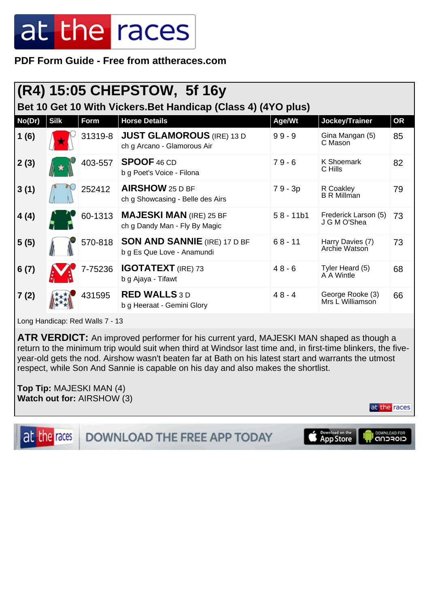**PDF Form Guide - Free from attheraces.com**

| (R4) 15:05 CHEPSTOW, 5f 16y                                   |             |         |                                                                   |             |                                      |    |  |  |
|---------------------------------------------------------------|-------------|---------|-------------------------------------------------------------------|-------------|--------------------------------------|----|--|--|
| Bet 10 Get 10 With Vickers. Bet Handicap (Class 4) (4YO plus) |             |         |                                                                   |             |                                      |    |  |  |
| No(Dr)                                                        | <b>Silk</b> | Form    | <b>Horse Details</b>                                              | Age/Wt      | Jockey/Trainer                       | OR |  |  |
| 1(6)                                                          |             | 31319-8 | <b>JUST GLAMOROUS</b> (IRE) 13 D<br>ch g Arcano - Glamorous Air   | $99 - 9$    | Gina Mangan (5)<br>C Mason           | 85 |  |  |
| 2(3)                                                          |             | 403-557 | <b>SPOOF 46 CD</b><br>b g Poet's Voice - Filona                   | $79 - 6$    | K Shoemark<br>C Hills                | 82 |  |  |
| 3(1)                                                          |             | 252412  | AIRSHOW $25$ D BF<br>ch g Showcasing - Belle des Airs             | 79 - 3p     | R Coakley<br><b>B R Millman</b>      | 79 |  |  |
| 4(4)                                                          |             | 60-1313 | <b>MAJESKI MAN (IRE) 25 BF</b><br>ch g Dandy Man - Fly By Magic   | $58 - 11b1$ | Frederick Larson (5)<br>J G M O'Shea | 73 |  |  |
| 5(5)                                                          |             | 570-818 | <b>SON AND SANNIE</b> (IRE) 17 D BF<br>b g Es Que Love - Anamundi | $68 - 11$   | Harry Davies (7)<br>Archie Watson    | 73 |  |  |
| 6(7)                                                          |             | 7-75236 | <b>IGOTATEXT</b> (IRE) 73<br>b g Ajaya - Tifawt                   | $48 - 6$    | Tyler Heard (5)<br>A A Wintle        | 68 |  |  |
| 7(2)                                                          |             | 431595  | <b>RED WALLS 3D</b><br>b g Heeraat - Gemini Glory                 | $48 - 4$    | George Rooke (3)<br>Mrs L Williamson | 66 |  |  |

Long Handicap: Red Walls 7 - 13

**ATR VERDICT:** An improved performer for his current yard, MAJESKI MAN shaped as though a return to the minimum trip would suit when third at Windsor last time and, in first-time blinkers, the fiveyear-old gets the nod. Airshow wasn't beaten far at Bath on his latest start and warrants the utmost respect, while Son And Sannie is capable on his day and also makes the shortlist.

**Top Tip:** MAJESKI MAN (4) **Watch out for:** AIRSHOW (3)

at the races

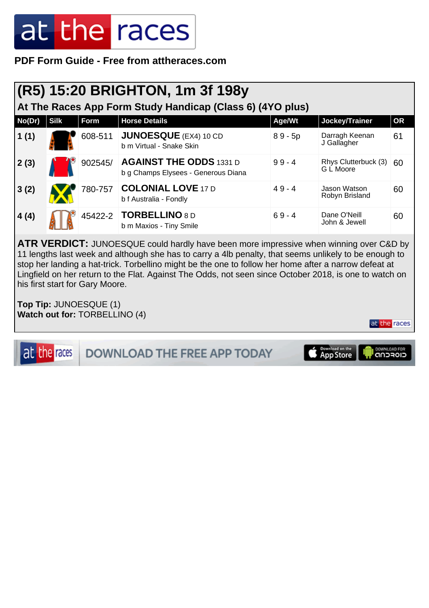**PDF Form Guide - Free from attheraces.com**

| (R5) 15:20 BRIGHTON, 1m 3f 198y                           |             |         |                                                                       |           |                                   |           |  |
|-----------------------------------------------------------|-------------|---------|-----------------------------------------------------------------------|-----------|-----------------------------------|-----------|--|
| At The Races App Form Study Handicap (Class 6) (4YO plus) |             |         |                                                                       |           |                                   |           |  |
| No(Dr)                                                    | <b>Silk</b> | Form    | <b>Horse Details</b>                                                  | Age/Wt    | Jockey/Trainer                    | <b>OR</b> |  |
| 1(1)                                                      |             | 608-511 | <b>JUNOESQUE</b> (EX4) 10 CD<br>b m Virtual - Snake Skin              | $89 - 5p$ | Darragh Keenan<br>J Gallagher     | 61        |  |
| 2(3)                                                      |             | 902545/ | <b>AGAINST THE ODDS 1331 D</b><br>b g Champs Elysees - Generous Diana | $99 - 4$  | Rhys Clutterbuck (3)<br>G L Moore | 60        |  |
| 3(2)                                                      |             | 780-757 | <b>COLONIAL LOVE 17 D</b><br>b f Australia - Fondly                   | $49 - 4$  | Jason Watson<br>Robyn Brisland    | 60        |  |
| 4(4)                                                      |             |         | 45422-2 <b>TORBELLINO</b> 8 D<br>b m Maxios - Tiny Smile              | $69 - 4$  | Dane O'Neill<br>John & Jewell     | 60        |  |

**ATR VERDICT:** JUNOESQUE could hardly have been more impressive when winning over C&D by 11 lengths last week and although she has to carry a 4lb penalty, that seems unlikely to be enough to stop her landing a hat-trick. Torbellino might be the one to follow her home after a narrow defeat at Lingfield on her return to the Flat. Against The Odds, not seen since October 2018, is one to watch on his first start for Gary Moore.

**Top Tip:** JUNOESQUE (1) **Watch out for:** TORBELLINO (4)

at the races

at the races DOWNLOAD THE FREE APP TODAY

Download on the

DOWNLOAD FOR